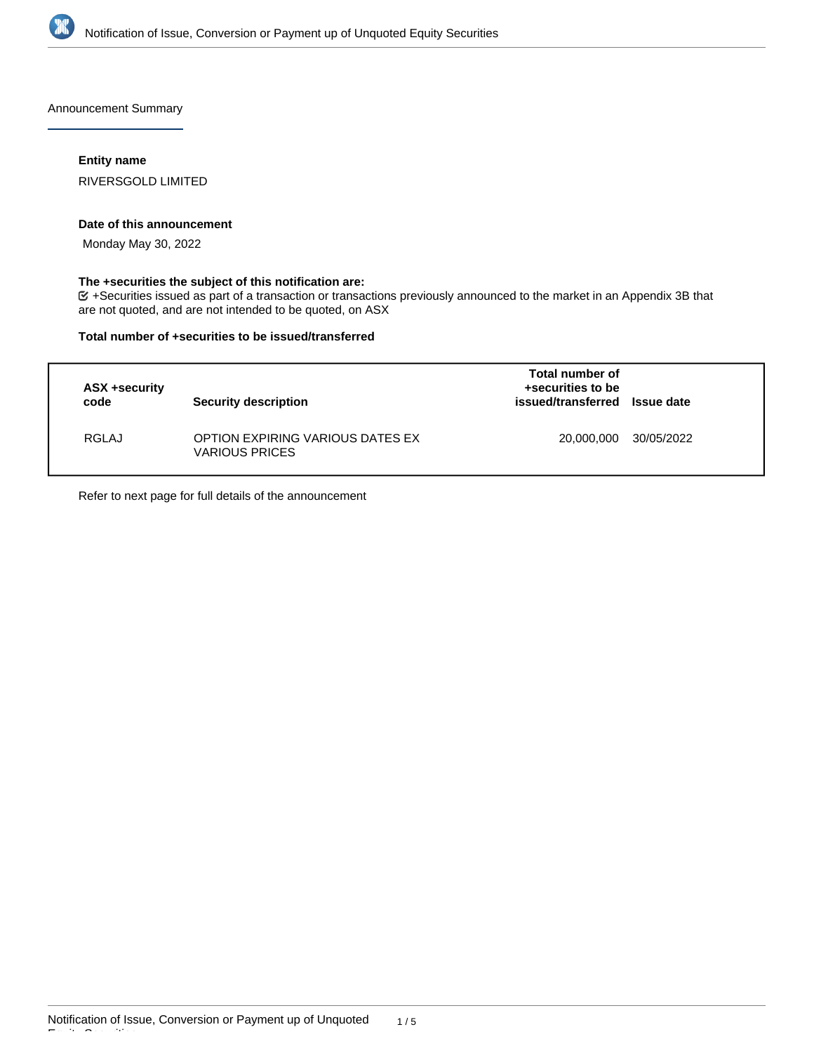

Announcement Summary

#### **Entity name**

RIVERSGOLD LIMITED

#### **Date of this announcement**

Monday May 30, 2022

# **The +securities the subject of this notification are:**

+Securities issued as part of a transaction or transactions previously announced to the market in an Appendix 3B that are not quoted, and are not intended to be quoted, on ASX

#### **Total number of +securities to be issued/transferred**

| ASX +security<br>code | <b>Security description</b>                               | Total number of<br>+securities to be<br>issued/transferred Issue date |            |
|-----------------------|-----------------------------------------------------------|-----------------------------------------------------------------------|------------|
| <b>RGLAJ</b>          | OPTION EXPIRING VARIOUS DATES EX<br><b>VARIOUS PRICES</b> | 20,000,000                                                            | 30/05/2022 |

Refer to next page for full details of the announcement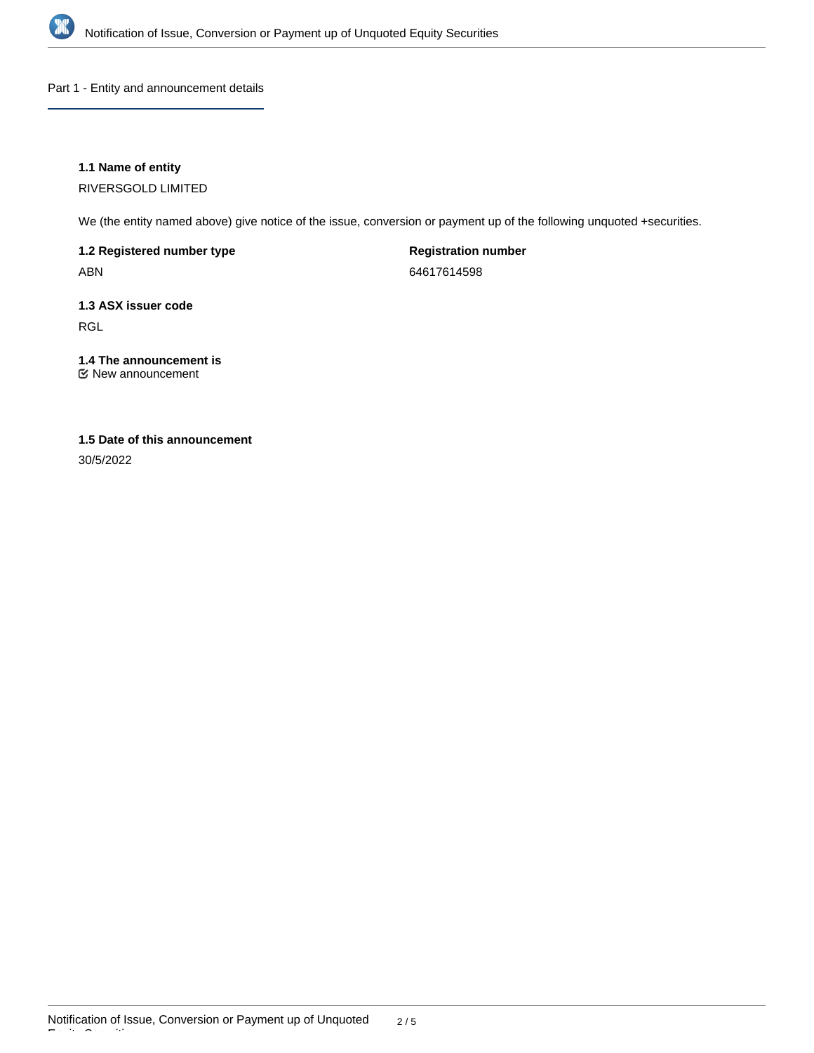

Part 1 - Entity and announcement details

# **1.1 Name of entity**

RIVERSGOLD LIMITED

We (the entity named above) give notice of the issue, conversion or payment up of the following unquoted +securities.

**1.2 Registered number type** ABN

**Registration number** 64617614598

**1.3 ASX issuer code** RGL

**1.4 The announcement is** New announcement

# **1.5 Date of this announcement**

30/5/2022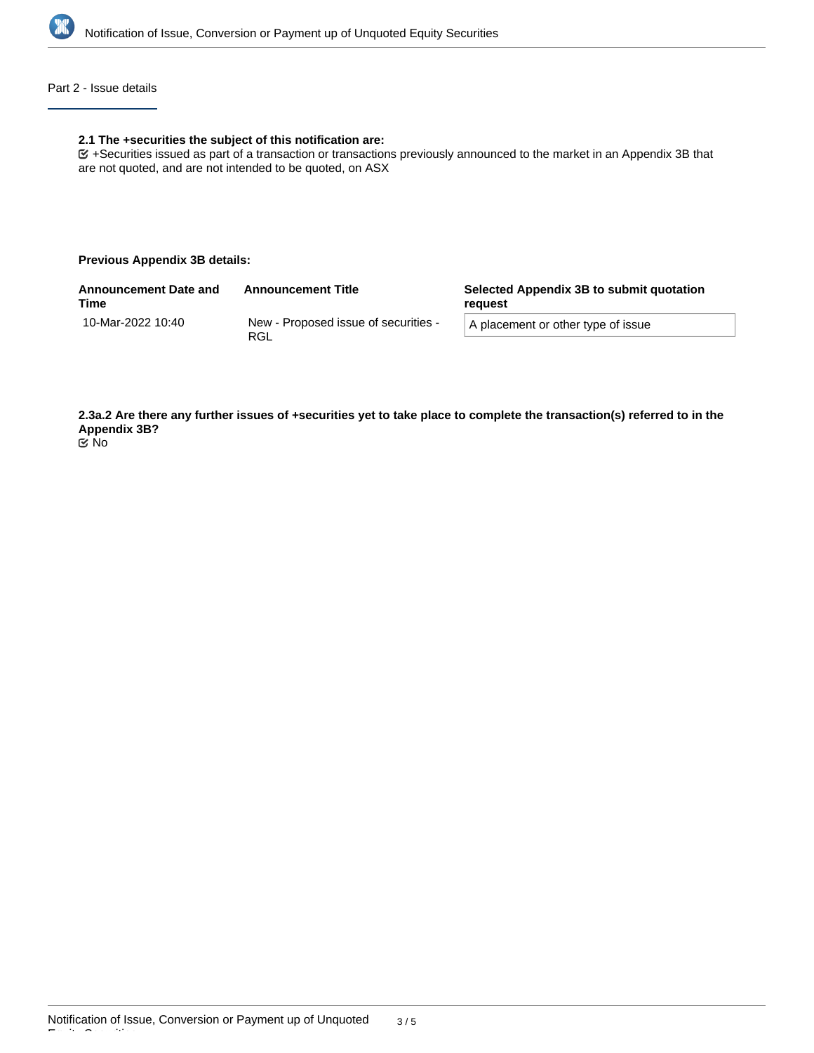

#### Part 2 - Issue details

#### **2.1 The +securities the subject of this notification are:**

+Securities issued as part of a transaction or transactions previously announced to the market in an Appendix 3B that are not quoted, and are not intended to be quoted, on ASX

#### **Previous Appendix 3B details:**

| <b>Announcement Date and</b><br>Time | <b>Announcement Title</b>                   | Selected Appendix 3B to submit quotation<br>reguest |  |
|--------------------------------------|---------------------------------------------|-----------------------------------------------------|--|
| 10-Mar-2022 10:40                    | New - Proposed issue of securities -<br>RGL | A placement or other type of issue                  |  |
|                                      |                                             |                                                     |  |

**2.3a.2 Are there any further issues of +securities yet to take place to complete the transaction(s) referred to in the Appendix 3B?** No

Equity Securities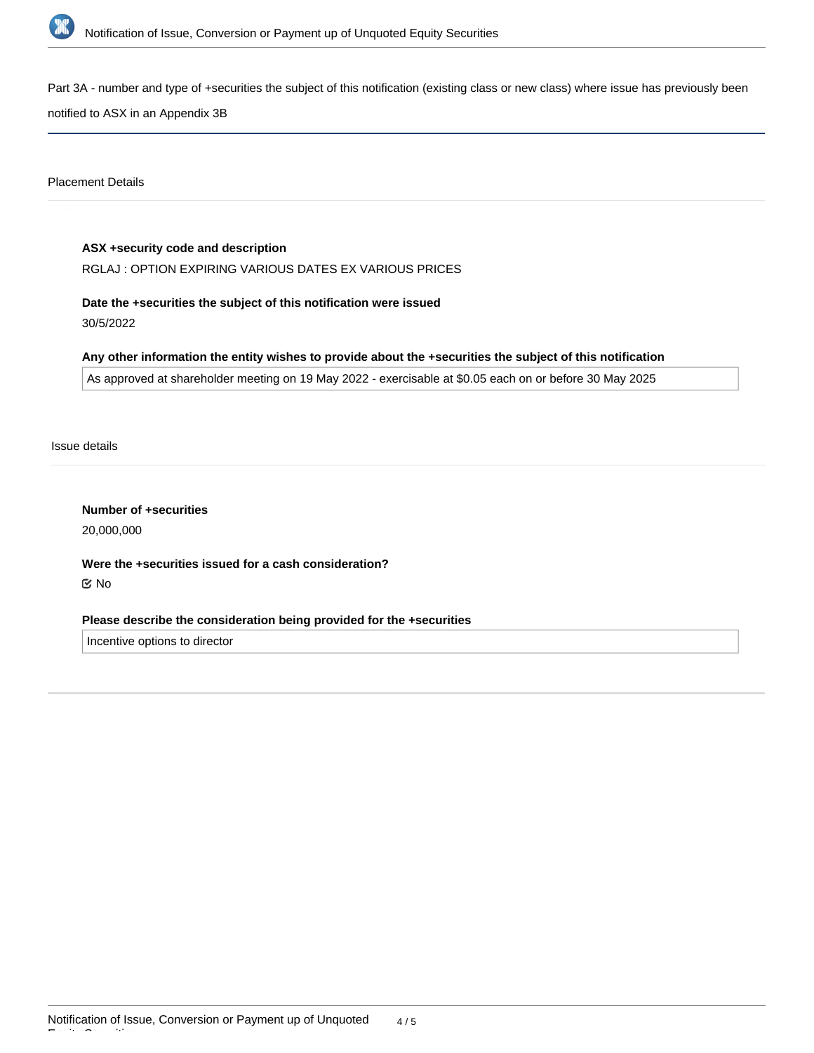

Part 3A - number and type of +securities the subject of this notification (existing class or new class) where issue has previously been

notified to ASX in an Appendix 3B

Placement Details

# **ASX +security code and description** RGLAJ : OPTION EXPIRING VARIOUS DATES EX VARIOUS PRICES

**Date the +securities the subject of this notification were issued**

30/5/2022

# **Any other information the entity wishes to provide about the +securities the subject of this notification**

As approved at shareholder meeting on 19 May 2022 - exercisable at \$0.05 each on or before 30 May 2025

Issue details

**Number of +securities** 20,000,000

**Were the +securities issued for a cash consideration?** No

# **Please describe the consideration being provided for the +securities**

Incentive options to director